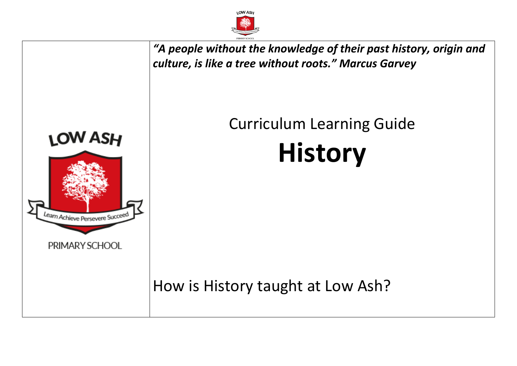

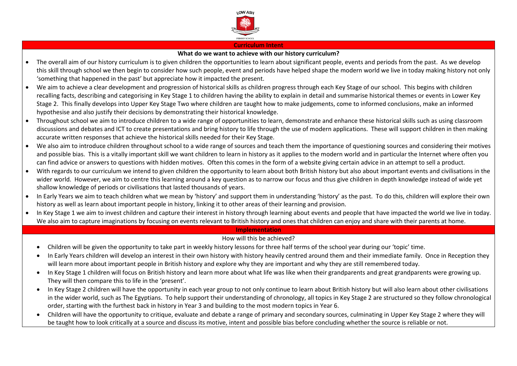

#### **Curriculum Intent**

### **What do we want to achieve with our history curriculum?**

- The overall aim of our history curriculum is to given children the opportunities to learn about significant people, events and periods from the past. As we develop this skill through school we then begin to consider how such people, event and periods have helped shape the modern world we live in today making history not only 'something that happened in the past' but appreciate how it impacted the present.
- We aim to achieve a clear development and progression of historical skills as children progress through each Key Stage of our school. This begins with children recalling facts, describing and categorising in Key Stage 1 to children having the ability to explain in detail and summarise historical themes or events in Lower Key Stage 2. This finally develops into Upper Key Stage Two where children are taught how to make judgements, come to informed conclusions, make an informed hypothesise and also justify their decisions by demonstrating their historical knowledge.
- Throughout school we aim to introduce children to a wide range of opportunities to learn, demonstrate and enhance these historical skills such as using classroom discussions and debates and ICT to create presentations and bring history to life through the use of modern applications. These will support children in then making accurate written responses that achieve the historical skills needed for their Key Stage.
- We also aim to introduce children throughout school to a wide range of sources and teach them the importance of questioning sources and considering their motives and possible bias. This is a vitally important skill we want children to learn in history as it applies to the modern world and in particular the Internet where often you can find advice or answers to questions with hidden motives. Often this comes in the form of a website giving certain advice in an attempt to sell a product.
- With regards to our curriculum we intend to given children the opportunity to learn about both British history but also about important events and civilisations in the wider world. However, we aim to centre this learning around a key question as to narrow our focus and thus give children in depth knowledge instead of wide yet shallow knowledge of periods or civilisations that lasted thousands of years.
- In Early Years we aim to teach children what we mean by 'history' and support them in understanding 'history' as the past. To do this, children will explore their own history as well as learn about important people in history, linking it to other areas of their learning and provision.
- In Key Stage 1 we aim to invest children and capture their interest in history through learning about events and people that have impacted the world we live in today. We also aim to capture imaginations by focusing on events relevant to British history and ones that children can enjoy and share with their parents at home.

#### **Implementation**

#### How will this be achieved?

- Children will be given the opportunity to take part in weekly history lessons for three half terms of the school year during our 'topic' time.
- In Early Years children will develop an interest in their own history with history heavily centred around them and their immediate family. Once in Reception they will learn more about important people in British history and explore why they are important and why they are still remembered today.
- In Key Stage 1 children will focus on British history and learn more about what life was like when their grandparents and great grandparents were growing up. They will then compare this to life in the 'present'.
- In Key Stage 2 children will have the opportunity in each year group to not only continue to learn about British history but will also learn about other civilisations in the wider world, such as The Egyptians. To help support their understanding of chronology, all topics in Key Stage 2 are structured so they follow chronological order, starting with the furthest back in history in Year 3 and building to the most modern topics in Year 6.
- Children will have the opportunity to critique, evaluate and debate a range of primary and secondary sources, culminating in Upper Key Stage 2 where they will be taught how to look critically at a source and discuss its motive, intent and possible bias before concluding whether the source is reliable or not.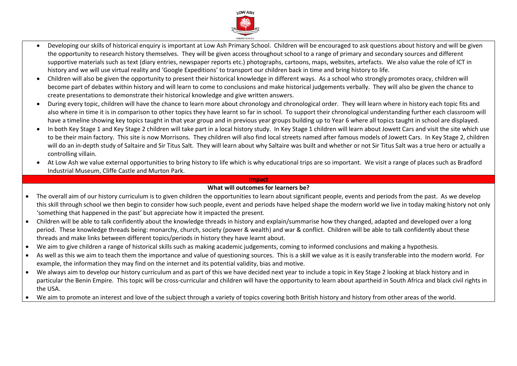

- Developing our skills of historical enquiry is important at Low Ash Primary School. Children will be encouraged to ask questions about history and will be given the opportunity to research history themselves. They will be given access throughout school to a range of primary and secondary sources and different supportive materials such as text (diary entries, newspaper reports etc.) photographs, cartoons, maps, websites, artefacts. We also value the role of ICT in history and we will use virtual reality and 'Google Expeditions' to transport our children back in time and bring history to life.
- Children will also be given the opportunity to present their historical knowledge in different ways. As a school who strongly promotes oracy, children will become part of debates within history and will learn to come to conclusions and make historical judgements verbally. They will also be given the chance to create presentations to demonstrate their historical knowledge and give written answers.
- During every topic, children will have the chance to learn more about chronology and chronological order. They will learn where in history each topic fits and also where in time it is in comparison to other topics they have learnt so far in school. To support their chronological understanding further each classroom will have a timeline showing key topics taught in that year group and in previous year groups building up to Year 6 where all topics taught in school are displayed.
- In both Key Stage 1 and Key Stage 2 children will take part in a local history study. In Key Stage 1 children will learn about Jowett Cars and visit the site which use to be their main factory. This site is now Morrisons. They children will also find local streets named after famous models of Jowett Cars. In Key Stage 2, children will do an in-depth study of Saltaire and Sir Titus Salt. They will learn about why Saltaire was built and whether or not Sir Titus Salt was a true hero or actually a controlling villain.
- At Low Ash we value external opportunities to bring history to life which is why educational trips are so important. We visit a range of places such as Bradford Industrial Museum, Cliffe Castle and Murton Park.

#### **Impact**

### **What will outcomes for learners be?**

- The overall aim of our history curriculum is to given children the opportunities to learn about significant people, events and periods from the past. As we develop this skill through school we then begin to consider how such people, event and periods have helped shape the modern world we live in today making history not only 'something that happened in the past' but appreciate how it impacted the present.
- Children will be able to talk confidently about the knowledge threads in history and explain/summarise how they changed, adapted and developed over a long period. These knowledge threads being: monarchy, church, society (power & wealth) and war & conflict. Children will be able to talk confidently about these threads and make links between different topics/periods in history they have learnt about.
- We aim to give children a range of historical skills such as making academic judgements, coming to informed conclusions and making a hypothesis.
- As well as this we aim to teach them the importance and value of questioning sources. This is a skill we value as it is easily transferable into the modern world. For example, the information they may find on the internet and its potential validity, bias and motive.
- We always aim to develop our history curriculum and as part of this we have decided next year to include a topic in Key Stage 2 looking at black history and in particular the Benin Empire. This topic will be cross-curricular and children will have the opportunity to learn about apartheid in South Africa and black civil rights in the USA.
- We aim to promote an interest and love of the subject through a variety of topics covering both British history and history from other areas of the world.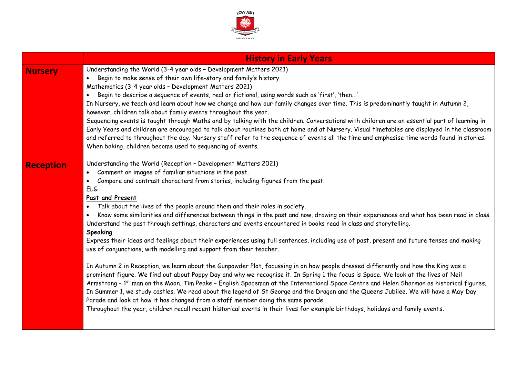

|                  | <b>History in Early Years</b>                                                                                                                                                                                                                                                                                                                                                                                                                                                                                                                                                                                                                                                                                                                                                                                                                                                                                                                                                                                                                                                                                                                                                                                                                                                                                                                                                                                                                                                                                                                                                                                                                                                    |
|------------------|----------------------------------------------------------------------------------------------------------------------------------------------------------------------------------------------------------------------------------------------------------------------------------------------------------------------------------------------------------------------------------------------------------------------------------------------------------------------------------------------------------------------------------------------------------------------------------------------------------------------------------------------------------------------------------------------------------------------------------------------------------------------------------------------------------------------------------------------------------------------------------------------------------------------------------------------------------------------------------------------------------------------------------------------------------------------------------------------------------------------------------------------------------------------------------------------------------------------------------------------------------------------------------------------------------------------------------------------------------------------------------------------------------------------------------------------------------------------------------------------------------------------------------------------------------------------------------------------------------------------------------------------------------------------------------|
| <b>Nursery</b>   | Understanding the World (3-4 year olds - Development Matters 2021)<br>Begin to make sense of their own life-story and family's history.<br>$\bullet$<br>Mathematics (3-4 year olds - Development Matters 2021)<br>Begin to describe a sequence of events, real or fictional, using words such as 'first', 'then'<br>$\bullet$<br>In Nursery, we teach and learn about how we change and how our family changes over time. This is predominantly taught in Autumn 2,<br>however, children talk about family events throughout the year.<br>Sequencing events is taught through Maths and by talking with the children. Conversations with children are an essential part of learning in<br>Early Years and children are encouraged to talk about routines both at home and at Nursery. Visual timetables are displayed in the classroom<br>and referred to throughout the day. Nursery staff refer to the sequence of events all the time and emphasise time words found in stories.<br>When baking, children become used to sequencing of events.                                                                                                                                                                                                                                                                                                                                                                                                                                                                                                                                                                                                                                |
| <b>Reception</b> | Understanding the World (Reception - Development Matters 2021)<br>Comment on images of familiar situations in the past.<br>$\bullet$<br>Compare and contrast characters from stories, including figures from the past.<br>$\bullet$<br><b>ELG</b><br>Past and Present<br>Talk about the lives of the people around them and their roles in society.<br>$\bullet$<br>Know some similarities and differences between things in the past and now, drawing on their experiences and what has been read in class.<br>$\bullet$<br>Understand the past through settings, characters and events encountered in books read in class and storytelling.<br>Speaking<br>Express their ideas and feelings about their experiences using full sentences, including use of past, present and future tenses and making<br>use of conjunctions, with modelling and support from their teacher.<br>In Autumn 2 in Reception, we learn about the Gunpowder Plot, focussing in on how people dressed differently and how the King was a<br>prominent figure. We find out about Poppy Day and why we recognise it. In Spring 1 the focus is Space. We look at the lives of Neil<br>Armstrong - 1 <sup>st</sup> man on the Moon, Tim Peake - English Spaceman at the International Space Centre and Helen Sharman as historical figures.<br>In Summer 1, we study castles. We read about the legend of St George and the Dragon and the Queens Jubilee. We will have a May Day<br>Parade and look at how it has changed from a staff member doing the same parade.<br>Throughout the year, children recall recent historical events in their lives for example birthdays, holidays and family events. |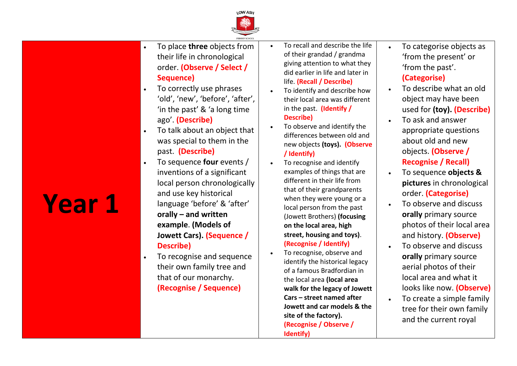

- To place **three** objects from their life in chronological order. **(Observe / Select / Sequence)**
- To correctly use phrases 'old', 'new', 'before', 'after', 'in the past' & 'a long time ago'. **(Describe)**
- To talk about an object that was special to them in the past. **(Describe)**
	- To sequence **four** events / inventions of a significant local person chronologically and use key historical language 'before' & 'after' **orally – and written example**. **(Models of Jowett Cars). (Sequence / Describe )**
- To recognise and sequence their own family tree and that of our monarchy. **(Recognise / Sequence )**
- To recall and describe the life of their grandad / grandma giving attention to what they did earlier in life and later in life. **(Recall / Describe)**
- To identify and describe how their local area was different in the past. **(Identify / Describe)**
- To observe and identify the differences between old and new objects **(toys). (Observe / Identify)**
- To recognise and identify examples of things that are different in their life from that of their grandparents when they were young or a local person from the past (Jowett Brothers) **(focusing on the local area, high street, housing and toys)** . **(Recognise / Identify)**
- To recognise, observe and identify the historical legacy of a famous Bradfordian in the local area **(local area walk for the legacy of Jowett Cars – street named after Jowett and car models & the site of the factory). (Recognise / Observe / Identify)**

• To categorise objects as 'from the present' or 'from the past'. **(Categorise)**

## • To describe what an old object may have been used for **(toy). (Describe)**

- To ask and answer appropriate questions about old and new objects. **(Observe / Recognise / Recall)**
- To sequence **objects & pictures** in chronological order. **(Categorise)**
- To observe and discuss **orally** primary source photos of their local area and history. **(Observe)**
- To observe and discuss **orally** primary source aerial photos of their local area and what it looks like now. **(Observe)**
- To create a simple family tree for their own family and the current royal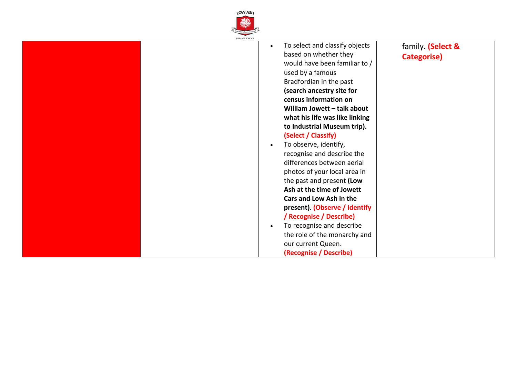

| PRIMARY SCHOOL |                                             |                   |
|----------------|---------------------------------------------|-------------------|
|                | To select and classify objects<br>$\bullet$ | family. (Select & |
|                | based on whether they                       | Categorise)       |
|                | would have been familiar to /               |                   |
|                | used by a famous                            |                   |
|                | Bradfordian in the past                     |                   |
|                | (search ancestry site for                   |                   |
|                | census information on                       |                   |
|                | William Jowett - talk about                 |                   |
|                | what his life was like linking              |                   |
|                | to Industrial Museum trip).                 |                   |
|                | (Select / Classify)                         |                   |
|                | To observe, identify,<br>$\bullet$          |                   |
|                | recognise and describe the                  |                   |
|                | differences between aerial                  |                   |
|                | photos of your local area in                |                   |
|                | the past and present (Low                   |                   |
|                | Ash at the time of Jowett                   |                   |
|                | Cars and Low Ash in the                     |                   |
|                | present). (Observe / Identify               |                   |
|                | / Recognise / Describe)                     |                   |
|                | To recognise and describe<br>$\bullet$      |                   |
|                | the role of the monarchy and                |                   |
|                | our current Queen.                          |                   |
|                | (Recognise / Describe)                      |                   |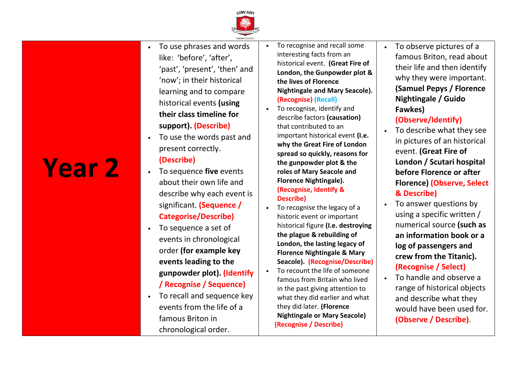

- **Year 2**
- To use phrases and words like: 'before', 'after', 'past', 'present', 'then' and 'now'; in their historical learning and to compare historical events **(using their class timeline for support). (Describe)**
- To use the words past and present correctly.

## **(Describe)**

- To sequence **five** events about their own life and describe why each event is significant. **(Sequence / Categorise/Describe)**
- To sequence a set of events in chronological order **(for example key events leading to the gunpowder plot). (Identify / Recognise / Sequence)**
- To recall and sequence key events from the life of a famous Briton in chronological order.
- To recognise and recall some interesting facts from an historical event. **(Great Fire of London, the Gunpowder plot & the lives of Florence Nightingale and Mary Seacole). (Recognise) (Recall)**
- To recognise, identify and describe factors **(causation)** that contributed to an important historical event **(I.e. why the Great Fire of London spread so quickly, reasons for the gunpowder plot & the roles of Mary Seacole and Florence Nightingale). (Recognise, Identify & Describe)**
- To recognise the legacy of a historic event or important historical figure **(I.e. destroying the plague & rebuilding of London, the lasting legacy of Florence Nightingale & Mary Seacole). (Recognise/Describe)**
- To recount the life of someone famous from Britain who lived in the past giving attention to what they did earlier and what they did later. **(Florence Nightingale or Mary Seacole) (Recognise / Describe)**

• To observe pictures of a famous Briton, read about their life and then identify why they were important. **(Samuel Pepys / Florence Nightingale / Guido Fawkes)** 

## **(Observe/Identify)**

- To describe what they see in pictures of an historical event. **(Great Fire of London / Scutari hospital before Florence or after Florence) (Observe, Select & Describe)**
- To answer questions by using a specific written / numerical source **(such as an information book or a log of passengers and crew from the Titanic). (Recognise / Select)**
- To handle and observe a range of historical objects and describe what they would have been used for. **(Observe / Describe)**.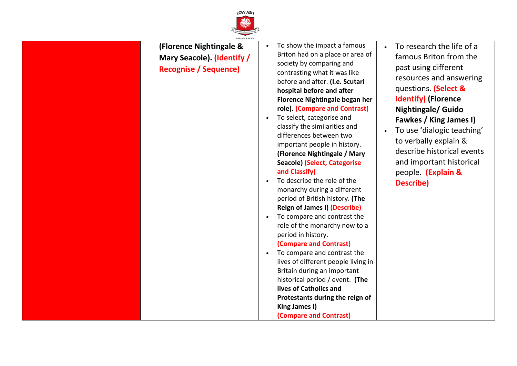

**(Florence Nightingale & Mary Seacole). (Identify / Recognise / Sequence)**

- To show the impact a famous Briton had on a place or area of society by comparing and contrasting what it was like before and after. **(I.e. Scutari hospital before and after Florence Nightingale began her role). (Compare and Contrast)**
- To select, categorise and classify the similarities and differences between two important people in history. **(Florence Nightingale / Mary Seacole) (Select, Categorise and Classify)**
- To describe the role of the monarchy during a different period of British history. **(The Reign of James I) (Describe)**
- To compare and contrast the role of the monarchy now to a period in history.

### **(Compare and Contrast)**

• To compare and contrast the lives of different people living in Britain during an important historical period / event. **(The lives of Catholics and Protestants during the reign of King James I) (Compare and Contrast)**

- To research the life of a famous Briton from the past using different resources and answering questions. **(Select & Identify) (Florence Nightingale/ Guido Fawkes / King James I)**
- To use 'dialogic teaching' to verbally explain & describe historical events and important historical people. **(Explain & Describe)**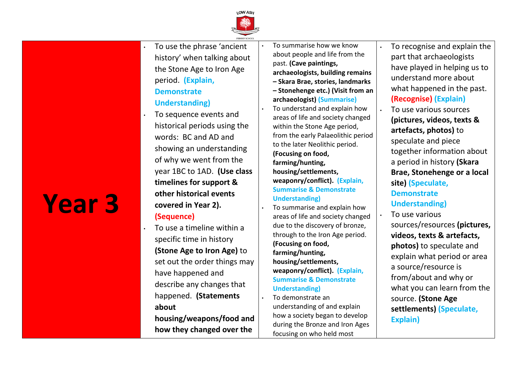

To use the phrase 'ancient history' when talking about the Stone Age to Iron Age period. **(Explain, Demonstrate**

## **Understanding)**

- To sequence events and historical periods using the words: BC and AD and showing an understanding of why we went from the year 1BC to 1AD. **(Use class timelines for support & other historical events covered in Year 2). (Sequence)**
- To use a timeline within a specific time in history **(Stone Age to Iron Age)** to set out the order things may have happened and describe any changes that happened. **(Statements about**

**housing/weapons/food and how they changed over the** 

• To summarise how we know about people and life from the past. **(Cave paintings, archaeologists, building remains – Skara Brae, stories, landmarks – Stonehenge etc.) (Visit from an archaeologist) (Summarise)** • To understand and explain how areas of life and society changed within the Stone Age period, from the early Palaeolithic period to the later Neolithic period. **(Focusing on food, farming/hunting, housing/settlements, weaponry/conflict). (Explain, Summarise & Demonstrate Understanding)** • To summarise and explain how areas of life and society changed due to the discovery of bronze, through to the Iron Age period. **(Focusing on food, farming/hunting, housing/settlements,** 

**weaponry/conflict). (Explain, Summarise & Demonstrate Understanding)**

• To demonstrate an understanding of and explain how a society began to develop during the Bronze and Iron Ages focusing on who held most

- To recognise and explain the part that archaeologists have played in helping us to understand more about what happened in the past. **(Recognise) (Explain)**
- To use various sources **(pictures, videos, texts & artefacts, photos)** to speculate and piece together information about a period in history **(Skara Brae, Stonehenge or a local site) (Speculate, Demonstrate Understanding)**
- To use various sources/resources **(pictures, videos, texts & artefacts, photos)** to speculate and explain what period or area a source/resource is from/about and why or what you can learn from the source. **(Stone Age settlements) (Speculate, Explain)**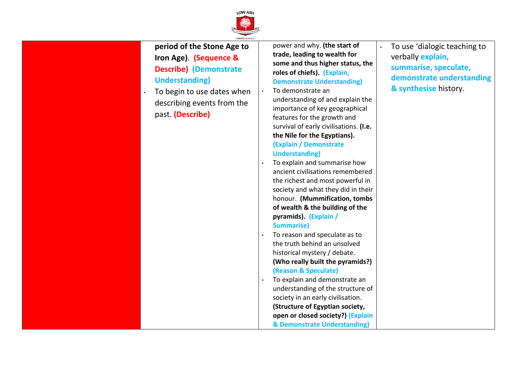

## **period of the Stone Age to Iron Age)**. **(Sequence & Describe) (Demonstrate Understanding)**

To begin to use dates when describing events from the past. **(Describe)**

power and why. **(the start of trade, leading to wealth for some and thus higher status, the roles of chiefs). (Explain, Demonstrate Understanding)**

• To demonstrate an understanding of and explain the importance of key geographical features for the growth and survival of early civilisations. **(I.e. the Nile for the Egyptians). (Explain / Demonstrate Understanding)**

- To explain and summarise how ancient civilisations remembered the richest and most powerful in society and what they did in their honour. **(Mummification, tombs of wealth & the building of the pyramids). (Explain / Summarise)**
- To reason and speculate as to the truth behind an unsolved historical mystery / debate. **(Who really built the pyramids?) (Reason & Speculate)**
- To explain and demonstrate an understanding of the structure of society in an early civilisation. **(Structure of Egyptian society, open or closed society?) (Explain & Demonstrate Understanding)**

• To use 'dialogic teaching to verbally **explain, summarise, speculate, demonstrate understanding & synthesise** history.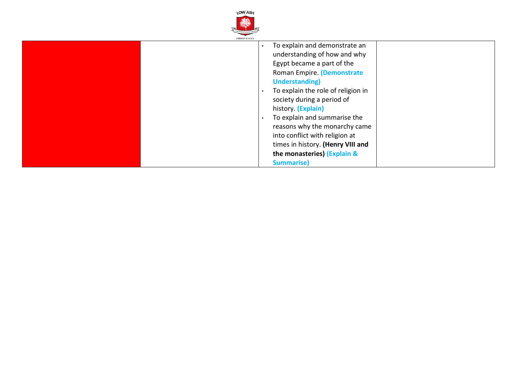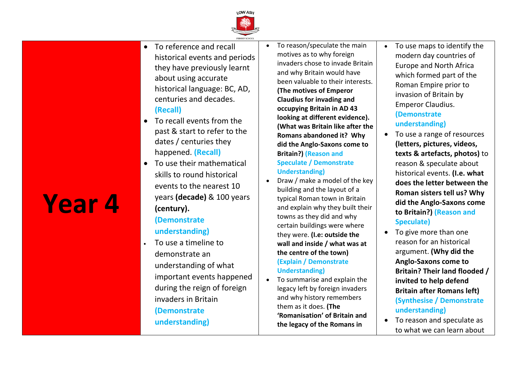

- To reference and recall historical events and periods they have previously learnt about using accurate historical language: BC, AD, centuries and decades. **(Recall)**
- To recall events from the past & start to refer to the dates / centuries they happened. **(Recall)**
- To use their mathematical skills to round historical events to the nearest 10 years **(decade)** & 100 years **(century).**

# **(Demonstrate**

## **understanding)**

• To use a timeline to demonstrate an understanding of what important events happened during the reign of foreign invaders in Britain **(Demonstrate understanding)**

- To reason/speculate the main motives as to why foreign invaders chose to invade Britain and why Britain would have been valuable to their interests. **(The motives of Emperor Claudius for invading and occupying Britain in AD 43 looking at different evidence). (What was Britain like after the Romans abandoned it? Why did the Anglo-Saxons come to Britain?) (Reason and Speculate / Demonstrate Understanding)**
- Draw / make a model of the key building and the layout of a typical Roman town in Britain and explain why they built their towns as they did and why certain buildings were where they were. **(I.e: outside the wall and inside / what was at the centre of the town) (Explain / Demonstrate Understanding)**
- To summarise and explain the legacy left by foreign invaders and why history remembers them as it does. **(The 'Romanisation' of Britain and the legacy of the Romans in**
- To use maps to identify the modern day countries of Europe and North Africa which formed part of the Roman Empire prior to invasion of Britain by Emperor Claudius. **(Demonstrate understanding)**
- To use a range of resources **(letters, pictures, videos, texts & artefacts, photos)** to reason & speculate about historical events. **(I.e. what does the letter between the Roman sisters tell us? Why did the Anglo-Saxons come to Britain?) (Reason and Speculate)**
- To give more than one reason for an historical argument. **(Why did the Anglo-Saxons come to Britain? Their land flooded / invited to help defend Britain after Romans left) (Synthesise / Demonstrate understanding)**
- To reason and speculate as to what we can learn about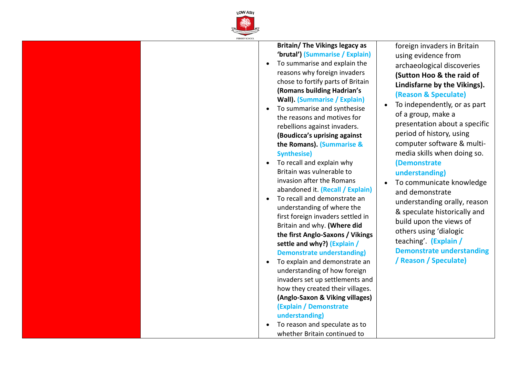

## **Britain/ The Vikings legacy as 'brutal') (Summarise / Explain)**

- To summarise and explain the reasons why foreign invaders chose to fortify parts of Britain **(Romans building Hadrian's Wall). (Summarise / Explain)**
- To summarise and synthesise the reasons and motives for rebellions against invaders. **(Boudicca's uprising against the Romans). (Summarise & Synthesise)**
- To recall and explain why Britain was vulnerable to invasion after the Romans abandoned it. **(Recall / Explain)**
- To recall and demonstrate an understanding of where the first foreign invaders settled in Britain and why. **(Where did the first Anglo-Saxons / Vikings settle and why?) (Explain / Demonstrate understanding)**
- To explain and demonstrate an understanding of how foreign invaders set up settlements and how they created their villages. **(Anglo-Saxon & Viking villages) (Explain / Demonstrate understanding)**
- To reason and speculate as to whether Britain continued to

foreign invaders in Britain using evidence from archaeological discoveries **(Sutton Hoo & the raid of Lindisfarne by the Vikings). (Reason & Speculate)**

- To independently, or as part of a group, make a presentation about a specific period of history, using computer software & multimedia skills when doing so. **(Demonstrate understanding)**
- To communicate knowledge and demonstrate understanding orally, reason & speculate historically and build upon the views of others using 'dialogic teaching'. **(Explain / Demonstrate understanding / Reason / Speculate)**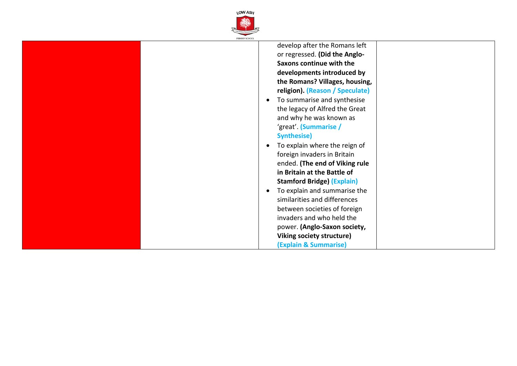

| PRIMARY SUHUUI |                                   |
|----------------|-----------------------------------|
|                | develop after the Romans left     |
|                | or regressed. (Did the Anglo-     |
|                | Saxons continue with the          |
|                | developments introduced by        |
|                | the Romans? Villages, housing,    |
|                | religion). (Reason / Speculate)   |
|                | To summarise and synthesise       |
|                | the legacy of Alfred the Great    |
|                | and why he was known as           |
|                | 'great'. (Summarise /             |
|                | <b>Synthesise)</b>                |
|                | To explain where the reign of     |
|                | foreign invaders in Britain       |
|                | ended. (The end of Viking rule    |
|                | in Britain at the Battle of       |
|                | <b>Stamford Bridge) (Explain)</b> |
|                |                                   |
|                | To explain and summarise the      |
|                | similarities and differences      |
|                | between societies of foreign      |
|                | invaders and who held the         |
|                | power. (Anglo-Saxon society,      |
|                | Viking society structure)         |
|                | (Explain & Summarise)             |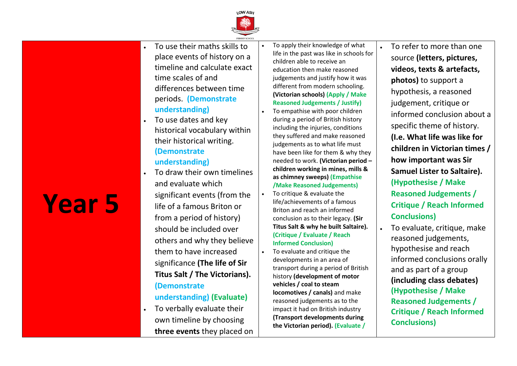

- To use their maths skills to place events of history on a timeline and calculate exact time scales of and differences between time periods. **(Demonstrate understanding)**
- To use dates and key historical vocabulary within their historical writing. **(Demonstrate understanding)**
- To draw their own timelines and evaluate which significant events (from the life of a famous Briton or from a period of history) should be included over others and why they believe them to have increased significance **(The life of Sir Titus Salt / The Victorians). (Demonstrate**

**understanding) (Evaluate)**

• To verbally evaluate their own timeline by choosing **three events** they placed on • To apply their knowledge of what life in the past was like in schools for children able to receive an education then make reasoned judgements and justify how it was different from modern schooling. **(Victorian schools) (Apply / Make Reasoned Judgements / Justify)**

- To empathise with poor children during a period of British history including the injuries, conditions they suffered and make reasoned judgements as to what life must have been like for them & why they needed to work. **(Victorian period – children working in mines, mills & as chimney sweeps) (Empathise /Make Reasoned Judgements)**
- To critique & evaluate the life/achievements of a famous Briton and reach an informed conclusion as to their legacy. **(Sir Titus Salt & why he built Saltaire). (Critique / Evaluate / Reach Informed Conclusion)** • To evaluate and critique the
	- developments in an area of transport during a period of British history **(development of motor vehicles / coal to steam locomotives / canals)** and make reasoned judgements as to the impact it had on British industry **(Transport developments during the Victorian period). (Evaluate /**
- To refer to more than one source **(letters, pictures, videos, texts & artefacts, photos)** to support a hypothesis, a reasoned judgement, critique or informed conclusion about a specific theme of history. **(I.e. What life was like for children in Victorian times / how important was Sir Samuel Lister to Saltaire). (Hypothesise / Make Reasoned Judgements / Critique / Reach Informed Conclusions)**
- To evaluate, critique, make reasoned judgements, hypothesise and reach informed conclusions orally and as part of a group **(including class debates) (Hypothesise / Make Reasoned Judgements / Critique / Reach Informed Conclusions)**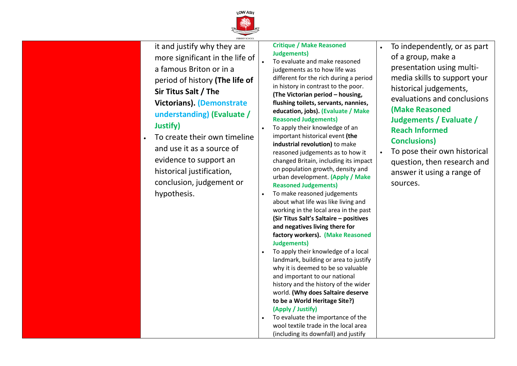

it and justify why they are more significant in the life of a famous Briton or in a period of history **(The life of Sir Titus Salt / The Victorians). (Demonstrate understanding) (Evaluate / Justify)**

• To create their own timeline and use it as a source of evidence to support an historical justification, conclusion, judgement or hypothesis.

### **Critique / Make Reasoned Judgements)**

• To evaluate and make reasoned judgements as to how life was different for the rich during a period in history in contrast to the poor. **(The Victorian period – housing, flushing toilets, servants, nannies, education, jobs). (Evaluate / Make Reasoned Judgements)**

- To apply their knowledge of an important historical event **(the industrial revolution)** to make reasoned judgements as to how it changed Britain, including its impact on population growth, density and urban development. **(Apply / Make Reasoned Judgements)**
- To make reasoned judgements about what life was like living and working in the local area in the past **(Sir Titus Salt's Saltaire – positives and negatives living there for factory workers). (Make Reasoned Judgements)**
- To apply their knowledge of a local landmark, building or area to justify why it is deemed to be so valuable and important to our national history and the history of the wider world. **(Why does Saltaire deserve to be a World Heritage Site?) (Apply / Justify)**
- To evaluate the importance of the wool textile trade in the local area (including its downfall) and justify
- To independently, or as part of a group, make a presentation using multimedia skills to support your historical judgements, evaluations and conclusions **(Make Reasoned Judgements / Evaluate / Reach Informed Conclusions)**
- To pose their own historical question, then research and answer it using a range of sources.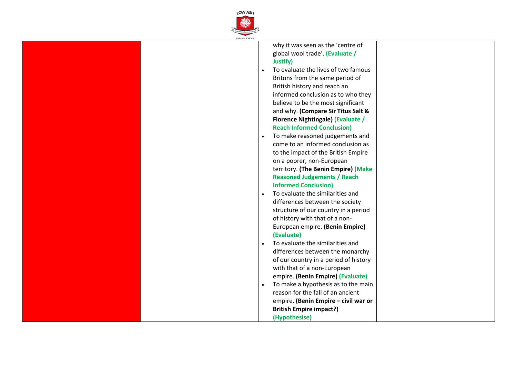

|  | why it was seen as the 'centre of                |
|--|--------------------------------------------------|
|  | global wool trade'. (Evaluate /                  |
|  | Justify)                                         |
|  | To evaluate the lives of two famous              |
|  | Britons from the same period of                  |
|  | British history and reach an                     |
|  | informed conclusion as to who they               |
|  | believe to be the most significant               |
|  | and why. (Compare Sir Titus Salt &               |
|  | <b>Florence Nightingale) (Evaluate /</b>         |
|  | <b>Reach Informed Conclusion)</b>                |
|  |                                                  |
|  | To make reasoned judgements and<br>$\bullet$     |
|  | come to an informed conclusion as                |
|  | to the impact of the British Empire              |
|  | on a poorer, non-European                        |
|  | territory. (The Benin Empire) (Make              |
|  | <b>Reasoned Judgements / Reach</b>               |
|  | <b>Informed Conclusion)</b>                      |
|  | To evaluate the similarities and<br>$\bullet$    |
|  | differences between the society                  |
|  | structure of our country in a period             |
|  | of history with that of a non-                   |
|  | European empire. (Benin Empire)                  |
|  | (Evaluate)                                       |
|  | To evaluate the similarities and<br>$\bullet$    |
|  | differences between the monarchy                 |
|  | of our country in a period of history            |
|  | with that of a non-European                      |
|  | empire. (Benin Empire) (Evaluate)                |
|  | To make a hypothesis as to the main<br>$\bullet$ |
|  | reason for the fall of an ancient                |
|  | empire. (Benin Empire - civil war or             |
|  | <b>British Empire impact?)</b>                   |
|  | (Hypothesise)                                    |
|  |                                                  |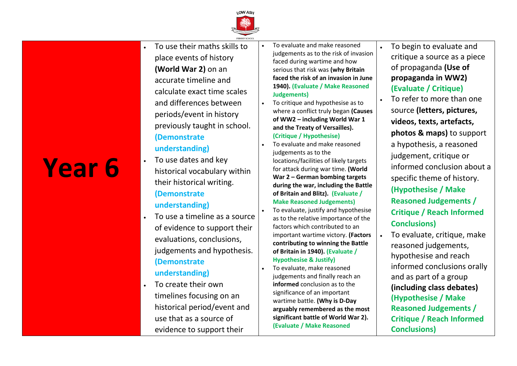

- **Year 6**
- To use their maths skills to place events of history **(World War 2)** on an accurate timeline and calculate exact time scales and differences between periods/event in history previously taught in school. **(Demonstrate understanding)**
- To use dates and key historical vocabulary within their historical writing. **(Demonstrate understanding)**
- To use a timeline as a source of evidence to support their evaluations, conclusions, judgements and hypothesis. **(Demonstrate understanding)**
- To create their own timelines focusing on an historical period/event and use that as a source of evidence to support their
- To evaluate and make reasoned judgements as to the risk of invasion faced during wartime and how serious that risk was **(why Britain faced the risk of an invasion in June 1940). (Evaluate / Make Reasoned Judgements)**
- To critique and hypothesise as to where a conflict truly began **(Causes of WW2 – including World War 1 and the Treaty of Versailles). (Critique / Hypothesise)**
	- To evaluate and make reasoned judgements as to the locations/facilities of likely targets for attack during war time. **(World War 2 – German bombing targets during the war, including the Battle of Britain and Blitz). (Evaluate / Make Reasoned Judgements)**
- To evaluate, justify and hypothesise as to the relative importance of the factors which contributed to an important wartime victory. **(Factors contributing to winning the Battle of Britain in 1940). (Evaluate / Hypothesise & Justify)**
- To evaluate, make reasoned judgements and finally reach an **informed** conclusion as to the significance of an important wartime battle. **(Why is D-Day arguably remembered as the most significant battle of World War 2). (Evaluate / Make Reasoned**
- To begin to evaluate and critique a source as a piece of propaganda **(Use of propaganda in WW2) (Evaluate / Critique)**
- To refer to more than one source **(letters, pictures, videos, texts, artefacts, photos & maps)** to support a hypothesis, a reasoned judgement, critique or informed conclusion about a specific theme of history. **(Hypothesise / Make Reasoned Judgements / Critique / Reach Informed Conclusions)**
- To evaluate, critique, make reasoned judgements, hypothesise and reach informed conclusions orally and as part of a group **(including class debates) (Hypothesise / Make Reasoned Judgements / Critique / Reach Informed Conclusions)**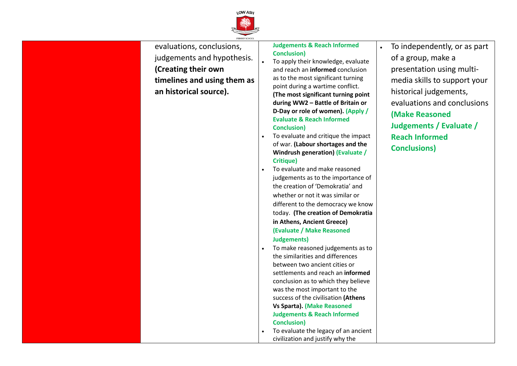

evaluations, conclusions, judgements and hypothesis. **(Creating their own timelines and using them as an historical source).**

### **Judgements & Reach Informed Conclusion)**

• To apply their knowledge, evaluate and reach an **informed** conclusion as to the most significant turning point during a wartime conflict. **(The most significant turning point during WW2 – Battle of Britain or D-Day or role of women). (Apply / Evaluate & Reach Informed Conclusion)**

- To evaluate and critique the impact of war. **(Labour shortages and the Windrush generation) (Evaluate / Critique)**
- To evaluate and make reasoned judgements as to the importance of the creation of 'Demokratia' and whether or not it was similar or different to the democracy we know today. **(The creation of Demokratia in Athens, Ancient Greece) (Evaluate / Make Reasoned Judgements)**
- To make reasoned judgements as to the similarities and differences between two ancient cities or settlements and reach an **informed** conclusion as to which they believe was the most important to the success of the civilisation **(Athens Vs Sparta). (Make Reasoned Judgements & Reach Informed Conclusion)** • To evaluate the legacy of an ancient
- civilization and justify why the

• To independently, or as part of a group, make a presentation using multimedia skills to support your historical judgements, evaluations and conclusions **(Make Reasoned Judgements / Evaluate / Reach Informed Conclusions)**